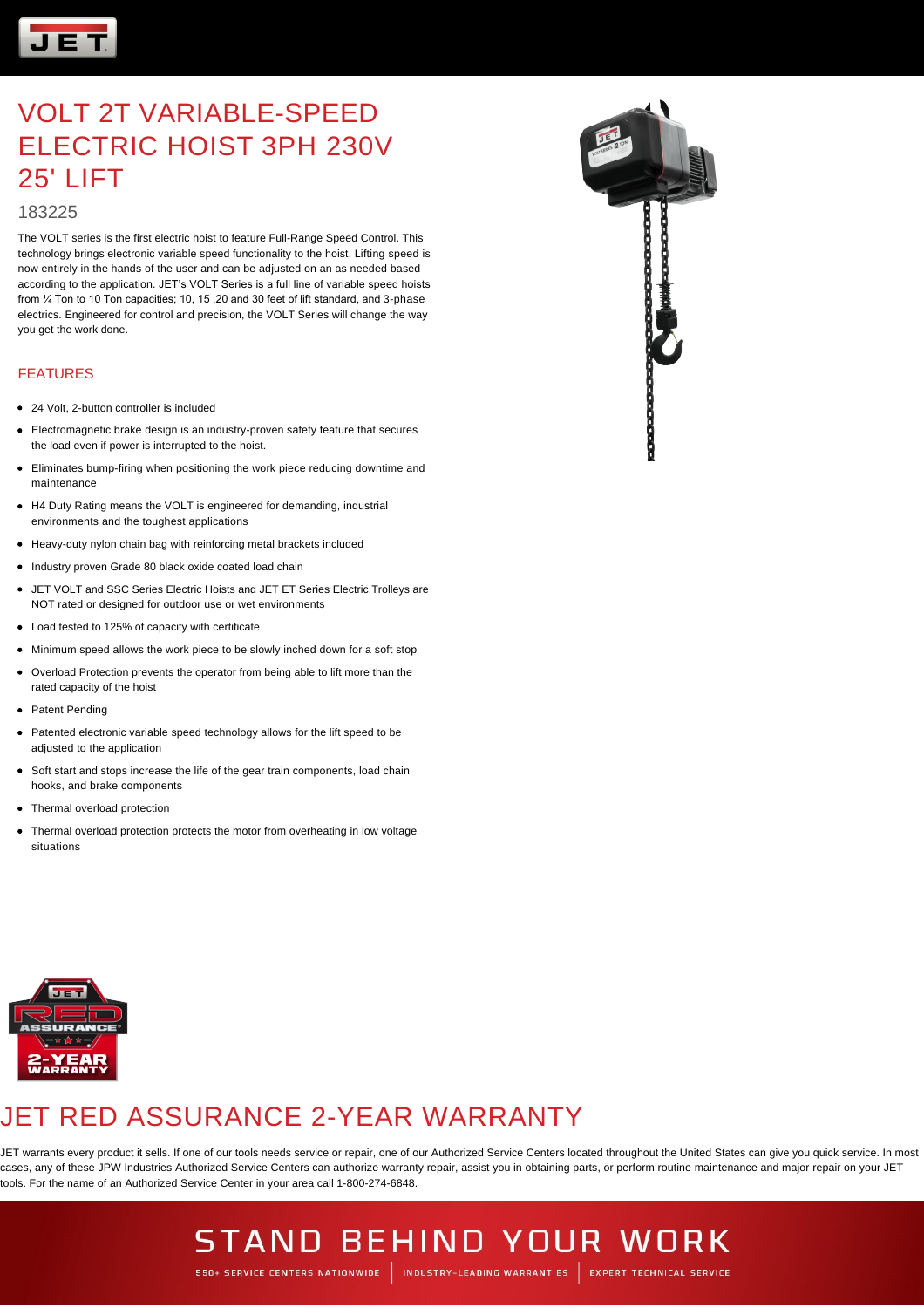

#### 183225

The VOLT series is the first electric hoist to feature Full-Range Speed Control. This technology brings electronic variable speed functionality to the hoist. Lifting speed is now entirely in the hands of the user and can be adjusted on an as needed based according to the application. JET's VOLT Series is a full line of variable speed hoists from ¼ Ton to 10 Ton capacities; 10, 15 ,20 and 30 feet of lift standard, and 3-phase electrics. Engineered for control and precision, the VOLT Series will change the way you get the work done.

#### FEATURES

- 24 Volt, 2-button controller is included
- Electromagnetic brake design is an industry-proven safety feature that secures the load even if power is interrupted to the hoist.
- Eliminates bump-firing when positioning the work piece reducing downtime and maintenance
- H4 Duty Rating means the VOLT is engineered for demanding, industrial environments and the toughest applications
- Heavy-duty nylon chain bag with reinforcing metal brackets included
- Industry proven Grade 80 black oxide coated load chain
- JET VOLT and SSC Series Electric Hoists and JET ET Series Electric Trolleys are NOT rated or designed for outdoor use or wet environments
- Load tested to 125% of capacity with certificate
- Minimum speed allows the work piece to be slowly inched down for a soft stop
- Overload Protection prevents the operator from being able to lift more than the rated capacity of the hoist
- Patent Pending
- Patented electronic variable speed technology allows for the lift speed to be adjusted to the application
- Soft start and stops increase the life of the gear train components, load chain hooks, and brake components
- Thermal overload protection
- Thermal overload protection protects the motor from overheating in low voltage situations





### JET RED ASSURANCE 2-YEAR WARRANTY

JET warrants every product it sells. If one of our tools needs service or repair, one of our Authorized Service Centers located throughout the United States can give you quick service. In most cases, any of these JPW Industries Authorized Service Centers can authorize warranty repair, assist you in obtaining parts, or perform routine maintenance and major repair on your JET tools. For the name of an Authorized Service Center in your area call 1-800-274-6848.

### **STAND BEHIND YOUR WORK** 550+ SERVICE CENTERS NATIONWIDE | INDUSTRY-LEADING WARRANTIES | EXPERT TECHNICAL SERVICE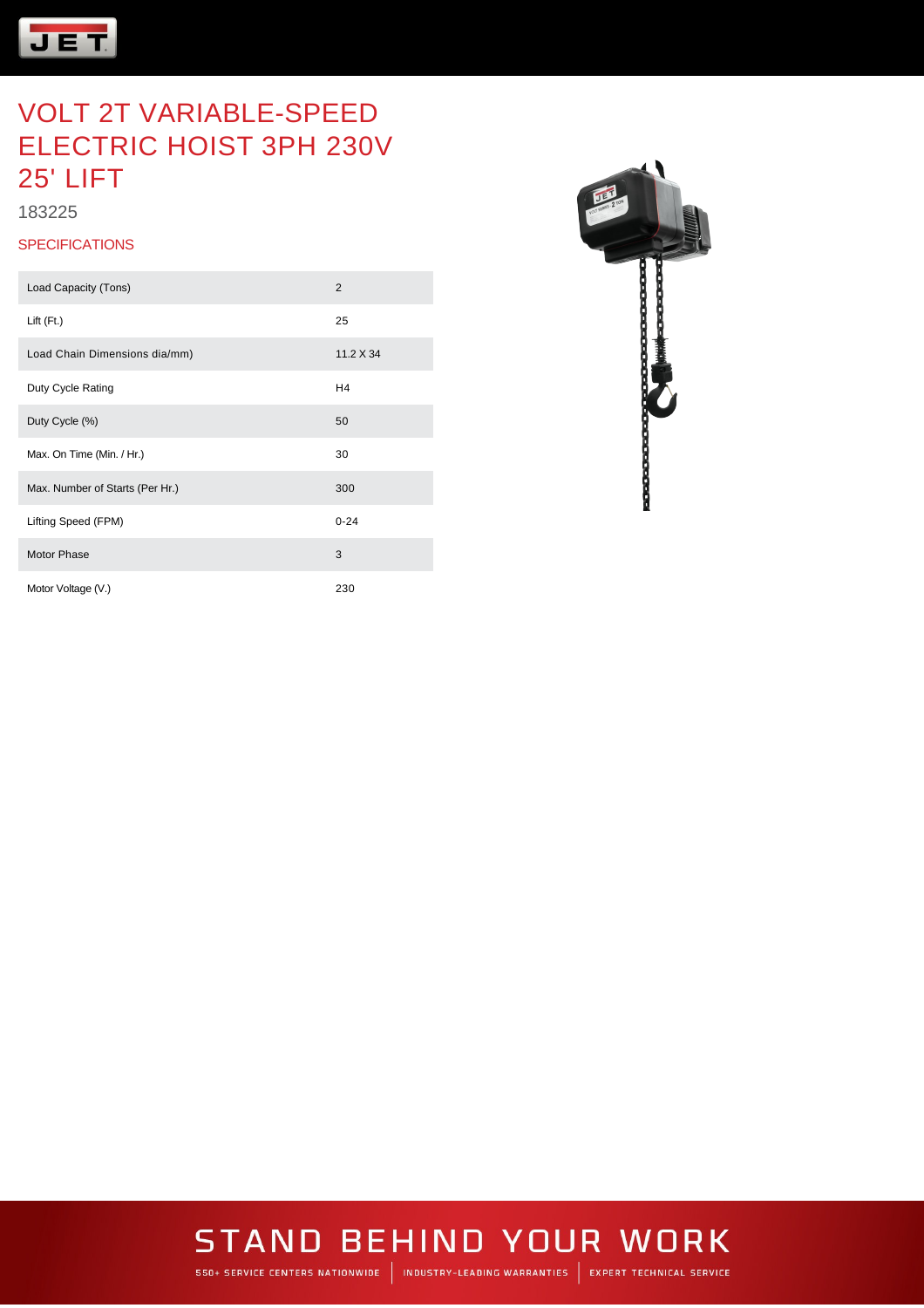

183225

#### **SPECIFICATIONS**

| Load Capacity (Tons)            | 2              |
|---------------------------------|----------------|
| Lift (Ft.)                      | 25             |
| Load Chain Dimensions dia/mm)   | 11.2 X 34      |
| Duty Cycle Rating               | H <sub>4</sub> |
| Duty Cycle (%)                  | 50             |
| Max. On Time (Min. / Hr.)       | 30             |
| Max. Number of Starts (Per Hr.) | 300            |
| Lifting Speed (FPM)             | $0 - 24$       |
| <b>Motor Phase</b>              | 3              |
| Motor Voltage (V.)              | 230            |



# **STAND BEHIND YOUR WORK**

550+ SERVICE CENTERS NATIONWIDE | INDUSTRY-LEADING WARRANTIES | EXPERT TECHNICAL SERVICE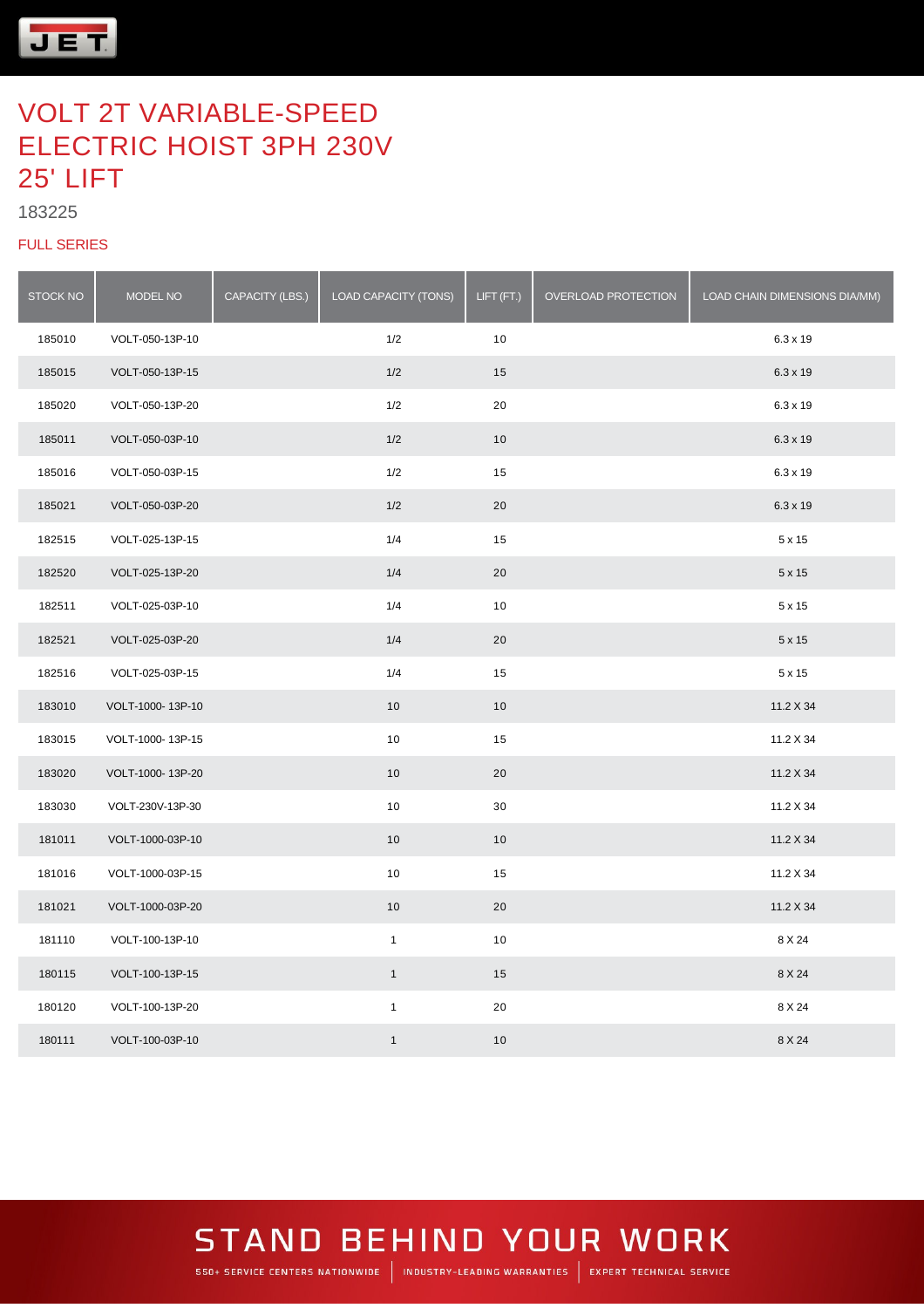

#### 

#### FULL SERIES

| <b>STOCK NO</b> | MODEL NO         | CAPACITY (LBS.) | LOAD CAPACITY (TONS) | LIFT (FT.) | OVERLOAD PROTECTION | LOAD CHAIN DIMENSIONS DIA/MM) |
|-----------------|------------------|-----------------|----------------------|------------|---------------------|-------------------------------|
| 185010          | VOLT-050-13P-10  |                 | 1/2                  | 10         |                     | 6.3 x 19                      |
| 185015          | VOLT-050-13P-15  |                 | 1/2                  | 15         |                     | 6.3 x 19                      |
| 185020          | VOLT-050-13P-20  |                 | 1/2                  | 20         |                     | $6.3 \times 19$               |
| 185011          | VOLT-050-03P-10  |                 | 1/2                  | 10         |                     | 6.3 x 19                      |
| 185016          | VOLT-050-03P-15  |                 | 1/2                  | 15         |                     | 6.3 x 19                      |
| 185021          | VOLT-050-03P-20  |                 | 1/2                  | 20         |                     | 6.3 x 19                      |
| 182515          | VOLT-025-13P-15  |                 | 1/4                  | 15         |                     | $5 \times 15$                 |
| 182520          | VOLT-025-13P-20  |                 | 1/4                  | 20         |                     | $5 \times 15$                 |
| 182511          | VOLT-025-03P-10  |                 | 1/4                  | 10         |                     | $5 \times 15$                 |
| 182521          | VOLT-025-03P-20  |                 | 1/4                  | 20         |                     | $5 \times 15$                 |
| 182516          | VOLT-025-03P-15  |                 | 1/4                  | 15         |                     | $5 \times 15$                 |
| 183010          | VOLT-1000-13P-10 |                 | 10                   | 10         |                     | 11.2 X 34                     |
| 183015          | VOLT-1000-13P-15 |                 | 10                   | 15         |                     | 11.2 X 34                     |
| 183020          | VOLT-1000-13P-20 |                 | $10$                 | 20         |                     | 11.2 X 34                     |
| 183030          | VOLT-230V-13P-30 |                 | 10                   | 30         |                     | 11.2 X 34                     |
| 181011          | VOLT-1000-03P-10 |                 | 10                   | 10         |                     | 11.2 X 34                     |
| 181016          | VOLT-1000-03P-15 |                 | 10                   | 15         |                     | 11.2 X 34                     |
| 181021          | VOLT-1000-03P-20 |                 | 10                   | 20         |                     | 11.2 X 34                     |
| 181110          | VOLT-100-13P-10  |                 | $\mathbf{1}$         | 10         |                     | 8 X 24                        |
| 180115          | VOLT-100-13P-15  |                 | $\mathbf{1}$         | 15         |                     | 8 X 24                        |
| 180120          | VOLT-100-13P-20  |                 | $\mathbf{1}$         | 20         |                     | 8 X 24                        |
| 180111          | VOLT-100-03P-10  |                 | $\mathbf{1}$         | 10         |                     | 8 X 24                        |

### **STAND BEHIND YOUR WORK** 550+ SERVICE CENTERS NATIONWIDE | INDUSTRY-LEADING WARRANTIES | EXPERT TECHNICAL SERVICE